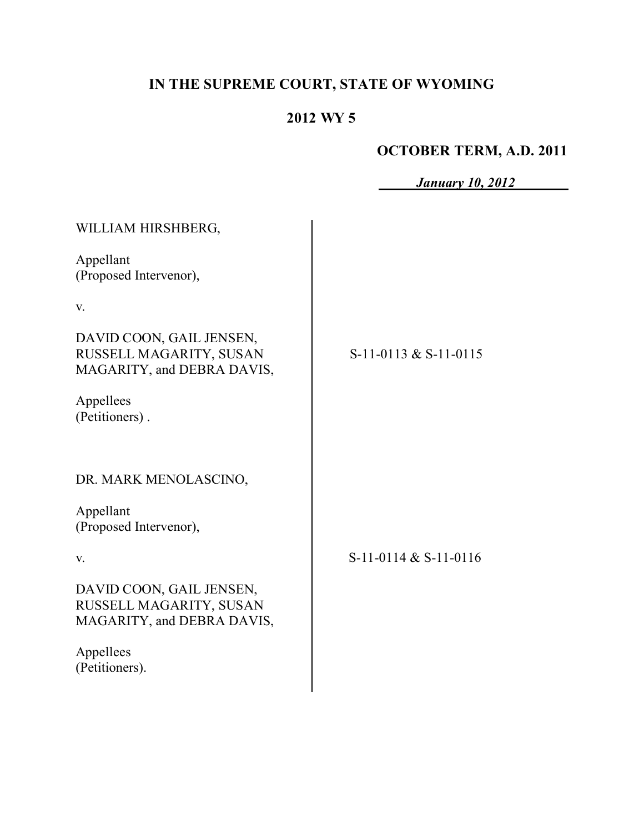# **IN THE SUPREME COURT, STATE OF WYOMING**

# **2012 WY 5**

# **OCTOBER TERM, A.D. 2011**

 $\overline{\phantom{a}}$ *January 10, 2012*

| WILLIAM HIRSHBERG,                                                                |                           |
|-----------------------------------------------------------------------------------|---------------------------|
| Appellant<br>(Proposed Intervenor),                                               |                           |
| V.                                                                                |                           |
| DAVID COON, GAIL JENSEN,<br>RUSSELL MAGARITY, SUSAN<br>MAGARITY, and DEBRA DAVIS, | $S-11-0113$ & $S-11-0115$ |
| Appellees<br>(Petitioners).                                                       |                           |
| DR. MARK MENOLASCINO,                                                             |                           |
| Appellant<br>(Proposed Intervenor),                                               |                           |
| V.                                                                                | $S-11-0114 & S-11-0116$   |
| DAVID COON, GAIL JENSEN,<br>RUSSELL MAGARITY, SUSAN<br>MAGARITY, and DEBRA DAVIS, |                           |
| Appellees<br>(Petitioners).                                                       |                           |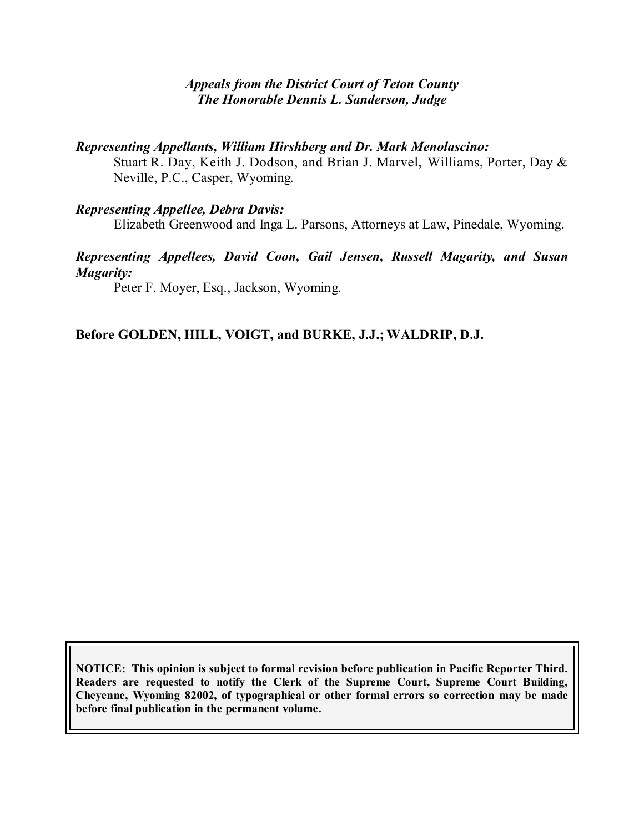#### *Appeals from the District Court of Teton County The Honorable Dennis L. Sanderson, Judge*

#### *Representing Appellants, William Hirshberg and Dr. Mark Menolascino:*

Stuart R. Day, Keith J. Dodson, and Brian J. Marvel, Williams, Porter, Day & Neville, P.C., Casper, Wyoming.

#### *Representing Appellee, Debra Davis:*

Elizabeth Greenwood and Inga L. Parsons, Attorneys at Law, Pinedale, Wyoming.

### *Representing Appellees, David Coon, Gail Jensen, Russell Magarity, and Susan Magarity:*

Peter F. Moyer, Esq., Jackson, Wyoming.

### **Before GOLDEN, HILL, VOIGT, and BURKE, J.J.; WALDRIP, D.J.**

**NOTICE: This opinion is subject to formal revision before publication in Pacific Reporter Third. Readers are requested to notify the Clerk of the Supreme Court, Supreme Court Building, Cheyenne, Wyoming 82002, of typographical or other formal errors so correction may be made before final publication in the permanent volume.**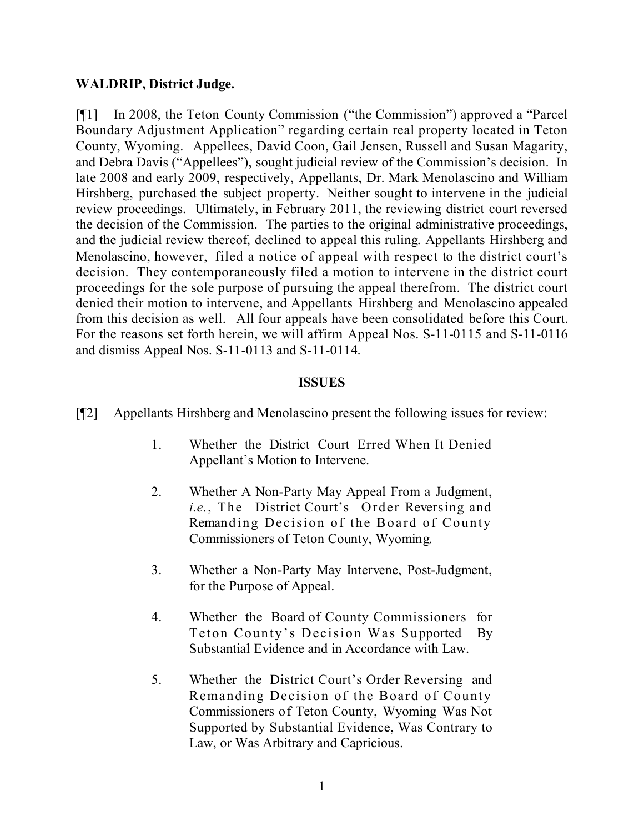## **WALDRIP, District Judge.**

[¶1] In 2008, the Teton County Commission ("the Commission") approved a "Parcel Boundary Adjustment Application" regarding certain real property located in Teton County, Wyoming. Appellees, David Coon, Gail Jensen, Russell and Susan Magarity, and Debra Davis ("Appellees"), sought judicial review of the Commission's decision. In late 2008 and early 2009, respectively, Appellants, Dr. Mark Menolascino and William Hirshberg, purchased the subject property. Neither sought to intervene in the judicial review proceedings. Ultimately, in February 2011, the reviewing district court reversed the decision of the Commission. The parties to the original administrative proceedings, and the judicial review thereof, declined to appeal this ruling. Appellants Hirshberg and Menolascino, however, filed a notice of appeal with respect to the district court's decision. They contemporaneously filed a motion to intervene in the district court proceedings for the sole purpose of pursuing the appeal therefrom. The district court denied their motion to intervene, and Appellants Hirshberg and Menolascino appealed from this decision as well. All four appeals have been consolidated before this Court. For the reasons set forth herein, we will affirm Appeal Nos. S-11-0115 and S-11-0116 and dismiss Appeal Nos. S-11-0113 and S-11-0114.

#### **ISSUES**

- [¶2] Appellants Hirshberg and Menolascino present the following issues for review:
	- 1. Whether the District Court Erred When It Denied Appellant's Motion to Intervene.
	- 2. Whether A Non-Party May Appeal From a Judgment, *i.e*., The District Court's Order Reversing and Remanding Decision of the Board of County Commissioners of Teton County, Wyoming.
	- 3. Whether a Non-Party May Intervene, Post-Judgment, for the Purpose of Appeal.
	- 4. Whether the Board of County Commissioners for Teton County's Decision Was Supported By Substantial Evidence and in Accordance with Law.
	- 5. Whether the District Court's Order Reversing and Remanding Decision of the Board of County Commissioners of Teton County, Wyoming Was Not Supported by Substantial Evidence, Was Contrary to Law, or Was Arbitrary and Capricious.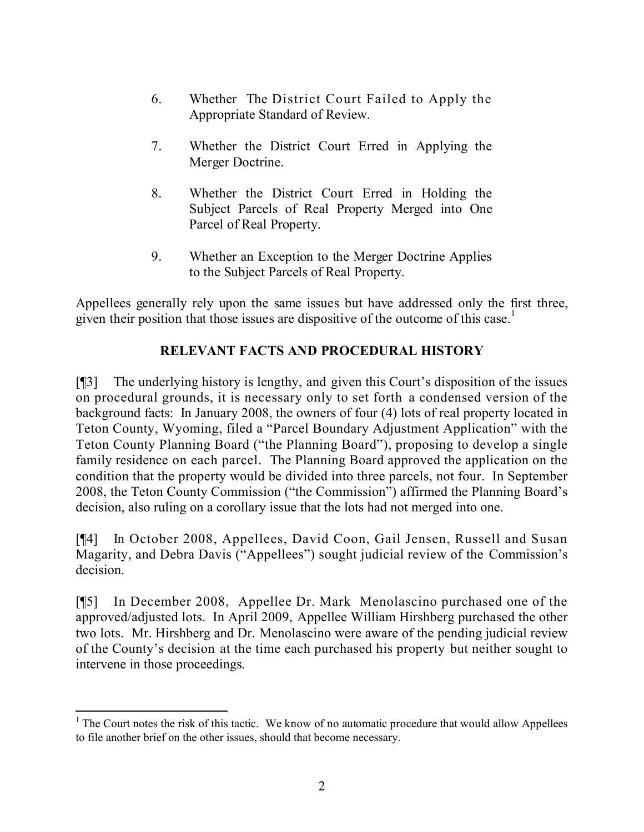- 6. Whether The District Court Failed to Apply the Appropriate Standard of Review.
- 7. Whether the District Court Erred in Applying the Merger Doctrine.
- 8. Whether the District Court Erred in Holding the Subject Parcels of Real Property Merged into One Parcel of Real Property.
- 9. Whether an Exception to the Merger Doctrine Applies to the Subject Parcels of Real Property.

Appellees generally rely upon the same issues but have addressed only the first three, given their position that those issues are dispositive of the outcome of this case.<sup>1</sup>

# **RELEVANT FACTS AND PROCEDURAL HISTORY**

[¶3] The underlying history is lengthy, and given this Court's disposition of the issues on procedural grounds, it is necessary only to set forth a condensed version of the background facts: In January 2008, the owners of four (4) lots of real property located in Teton County, Wyoming, filed a "Parcel Boundary Adjustment Application" with the Teton County Planning Board ("the Planning Board"), proposing to develop a single family residence on each parcel. The Planning Board approved the application on the condition that the property would be divided into three parcels, not four. In September 2008, the Teton County Commission ("the Commission") affirmed the Planning Board's decision, also ruling on a corollary issue that the lots had not merged into one.

[¶4] In October 2008, Appellees, David Coon, Gail Jensen, Russell and Susan Magarity, and Debra Davis ("Appellees") sought judicial review of the Commission's decision.

[¶5] In December 2008, Appellee Dr. Mark Menolascino purchased one of the approved/adjusted lots. In April 2009, Appellee William Hirshberg purchased the other two lots. Mr. Hirshberg and Dr. Menolascino were aware of the pending judicial review of the County's decision at the time each purchased his property but neither sought to intervene in those proceedings.

 $\overline{a}$ 

 $1$ <sup>1</sup> The Court notes the risk of this tactic. We know of no automatic procedure that would allow Appellees to file another brief on the other issues, should that become necessary.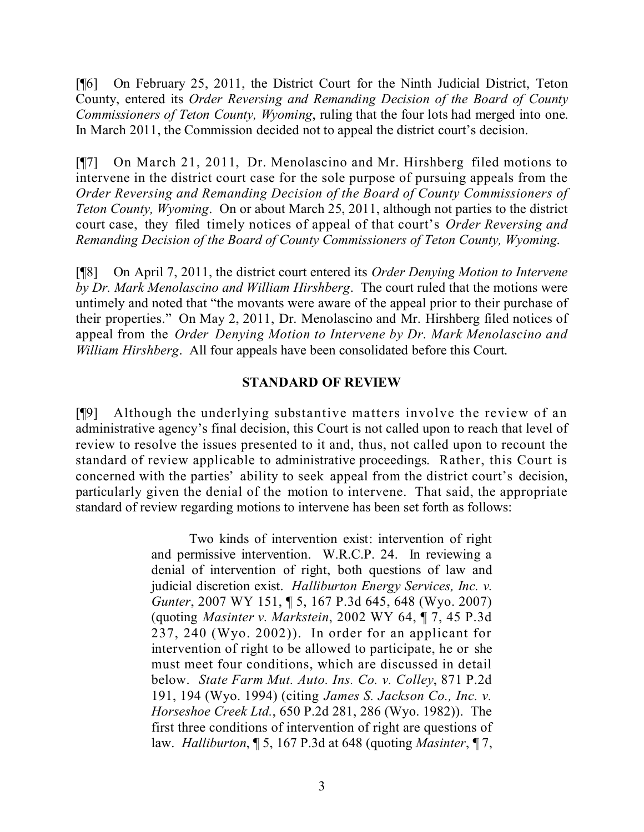[¶6] On February 25, 2011, the District Court for the Ninth Judicial District, Teton County, entered its *Order Reversing and Remanding Decision of the Board of County Commissioners of Teton County, Wyoming*, ruling that the four lots had merged into one. In March 2011, the Commission decided not to appeal the district court's decision.

[¶7] On March 21, 2011, Dr. Menolascino and Mr. Hirshberg filed motions to intervene in the district court case for the sole purpose of pursuing appeals from the *Order Reversing and Remanding Decision of the Board of County Commissioners of Teton County, Wyoming*. On or about March 25, 2011, although not parties to the district court case, they filed timely notices of appeal of that court's *Order Reversing and Remanding Decision of the Board of County Commissioners of Teton County, Wyoming*.

[¶8] On April 7, 2011, the district court entered its *Order Denying Motion to Intervene by Dr. Mark Menolascino and William Hirshberg*. The court ruled that the motions were untimely and noted that "the movants were aware of the appeal prior to their purchase of their properties." On May 2, 2011, Dr. Menolascino and Mr. Hirshberg filed notices of appeal from the *Order Denying Motion to Intervene by Dr. Mark Menolascino and William Hirshberg*. All four appeals have been consolidated before this Court.

#### **STANDARD OF REVIEW**

[¶9] Although the underlying substantive matters involve the review of an administrative agency's final decision, this Court is not called upon to reach that level of review to resolve the issues presented to it and, thus, not called upon to recount the standard of review applicable to administrative proceedings. Rather, this Court is concerned with the parties' ability to seek appeal from the district court's decision, particularly given the denial of the motion to intervene. That said, the appropriate standard of review regarding motions to intervene has been set forth as follows:

> Two kinds of intervention exist: intervention of right and permissive intervention. W.R.C.P. 24. In reviewing a denial of intervention of right, both questions of law and judicial discretion exist. *Halliburton Energy Services, Inc. v. Gunter*, 2007 WY 151, ¶ 5, 167 P.3d 645, 648 (Wyo. 2007) (quoting *Masinter v. Markstein*, 2002 WY 64, ¶ 7, 45 P.3d  $237, 240$  (Wyo.  $2002$ )). In order for an applicant for intervention of right to be allowed to participate, he or she must meet four conditions, which are discussed in detail below. *State Farm Mut. Auto. Ins. Co. v. Colley*, 871 P.2d 191, 194 (Wyo. 1994) (citing *James S. Jackson Co., Inc. v. Horseshoe Creek Ltd.*, 650 P.2d 281, 286 (Wyo. 1982)). The first three conditions of intervention of right are questions of law. *Halliburton*, ¶ 5, 167 P.3d at 648 (quoting *Masinter*, ¶ 7,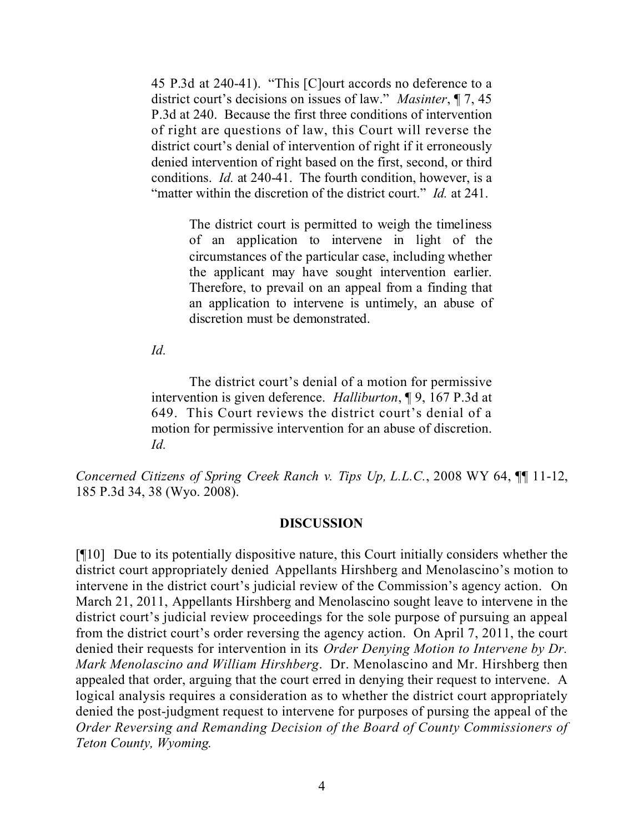45 P.3d at 240-41). "This [C]ourt accords no deference to a district court's decisions on issues of law." *Masinter*, ¶ 7, 45 P.3d at 240. Because the first three conditions of intervention of right are questions of law, this Court will reverse the district court's denial of intervention of right if it erroneously denied intervention of right based on the first, second, or third conditions. *Id.* at 240-41. The fourth condition, however, is a "matter within the discretion of the district court." *Id.* at 241.

> The district court is permitted to weigh the timeliness of an application to intervene in light of the circumstances of the particular case, including whether the applicant may have sought intervention earlier. Therefore, to prevail on an appeal from a finding that an application to intervene is untimely, an abuse of discretion must be demonstrated.

*Id.*

The district court's denial of a motion for permissive intervention is given deference. *Halliburton*, ¶ 9, 167 P.3d at 649. This Court reviews the district court's denial of a motion for permissive intervention for an abuse of discretion. *Id.*

*Concerned Citizens of Spring Creek Ranch v. Tips Up, L.L.C.*, 2008 WY 64, ¶¶ 11-12, 185 P.3d 34, 38 (Wyo. 2008).

#### **DISCUSSION**

[¶10] Due to its potentially dispositive nature, this Court initially considers whether the district court appropriately denied Appellants Hirshberg and Menolascino's motion to intervene in the district court's judicial review of the Commission's agency action. On March 21, 2011, Appellants Hirshberg and Menolascino sought leave to intervene in the district court's judicial review proceedings for the sole purpose of pursuing an appeal from the district court's order reversing the agency action. On April 7, 2011, the court denied their requests for intervention in its *Order Denying Motion to Intervene by Dr. Mark Menolascino and William Hirshberg*. Dr. Menolascino and Mr. Hirshberg then appealed that order, arguing that the court erred in denying their request to intervene. A logical analysis requires a consideration as to whether the district court appropriately denied the post-judgment request to intervene for purposes of pursing the appeal of the *Order Reversing and Remanding Decision of the Board of County Commissioners of Teton County, Wyoming.*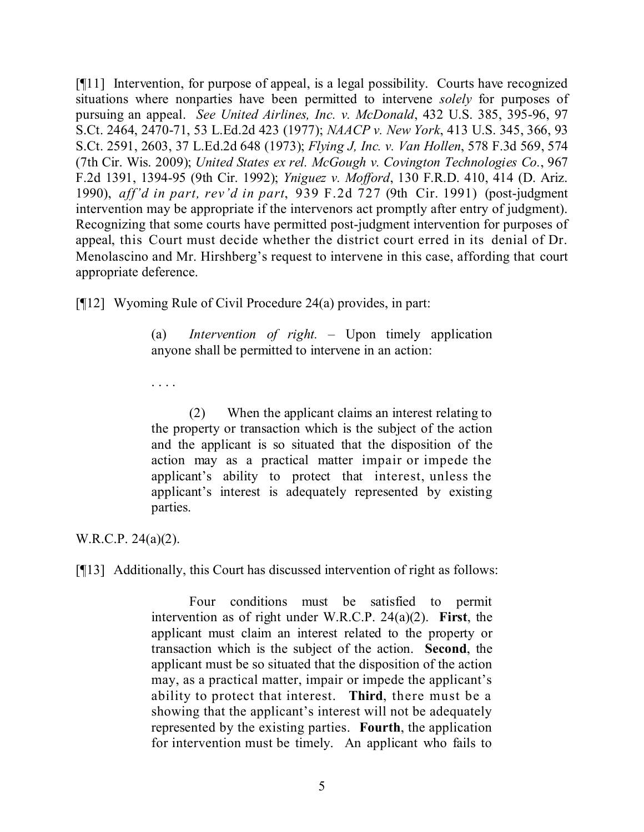[¶11] Intervention, for purpose of appeal, is a legal possibility. Courts have recognized situations where nonparties have been permitted to intervene *solely* for purposes of pursuing an appeal. *See United Airlines, Inc. v. McDonald*, 432 U.S. 385, 395-96, 97 S.Ct. 2464, 2470-71, 53 L.Ed.2d 423 (1977); *NAACP v. New York*, 413 U.S. 345, 366, 93 S.Ct. 2591, 2603, 37 L.Ed.2d 648 (1973); *Flying J, Inc. v. Van Hollen*, 578 F.3d 569, 574 (7th Cir. Wis. 2009); *United States ex rel. McGough v. Covington Technologies Co.*, 967 F.2d 1391, 1394-95 (9th Cir. 1992); *Yniguez v. Mofford*, 130 F.R.D. 410, 414 (D. Ariz. 1990), *aff'd in part, rev'd in part*, 939 F.2d 727 (9th Cir. 1991) (post-judgment intervention may be appropriate if the intervenors act promptly after entry of judgment). Recognizing that some courts have permitted post-judgment intervention for purposes of appeal, this Court must decide whether the district court erred in its denial of Dr. Menolascino and Mr. Hirshberg's request to intervene in this case, affording that court appropriate deference.

[¶12] Wyoming Rule of Civil Procedure 24(a) provides, in part:

(a) *Intervention of right.* – Upon timely application anyone shall be permitted to intervene in an action:

. . . .

(2) When the applicant claims an interest relating to the property or transaction which is the subject of the action and the applicant is so situated that the disposition of the action may as a practical matter impair or impede the applicant's ability to protect that interest, unless the applicant's interest is adequately represented by existing parties.

W.R.C.P. 24(a)(2).

[¶13] Additionally, this Court has discussed intervention of right as follows:

Four conditions must be satisfied to permit intervention as of right under W.R.C.P. 24(a)(2). **First**, the applicant must claim an interest related to the property or transaction which is the subject of the action. **Second**, the applicant must be so situated that the disposition of the action may, as a practical matter, impair or impede the applicant's ability to protect that interest. **Third**, there must be a showing that the applicant's interest will not be adequately represented by the existing parties. **Fourth**, the application for intervention must be timely. An applicant who fails to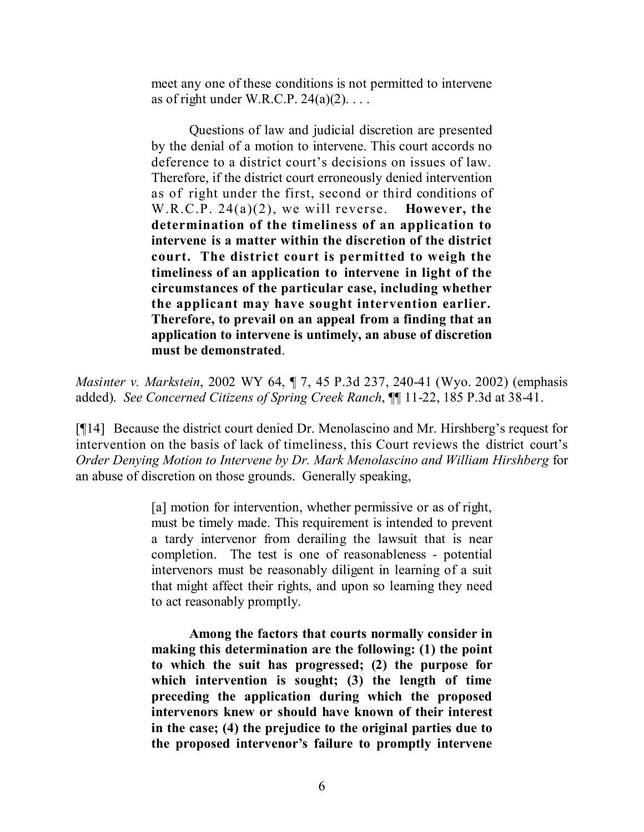meet any one of these conditions is not permitted to intervene as of right under W.R.C.P.  $24(a)(2)$ ...

Questions of law and judicial discretion are presented by the denial of a motion to intervene. This court accords no deference to a district court's decisions on issues of law. Therefore, if the district court erroneously denied intervention as of right under the first, second or third conditions of W.R.C.P. 24(a)(2), we will reverse. **However, the determination of the timeliness of an application to intervene is a matter within the discretion of the district court. The district court is permitted to weigh the timeliness of an application to intervene in light of the circumstances of the particular case, including whether the applicant may have sought intervention earlier. Therefore, to prevail on an appeal from a finding that an application to intervene is untimely, an abuse of discretion must be demonstrated**.

*Masinter v. Markstein*, 2002 WY 64, ¶ 7, 45 P.3d 237, 240-41 (Wyo. 2002) (emphasis added). *See Concerned Citizens of Spring Creek Ranch*, ¶¶ 11-22, 185 P.3d at 38-41.

[¶14] Because the district court denied Dr. Menolascino and Mr. Hirshberg's request for intervention on the basis of lack of timeliness, this Court reviews the district court's *Order Denying Motion to Intervene by Dr. Mark Menolascino and William Hirshberg* for an abuse of discretion on those grounds. Generally speaking,

> [a] motion for intervention, whether permissive or as of right, must be timely made. This requirement is intended to prevent a tardy intervenor from derailing the lawsuit that is near completion. The test is one of reasonableness - potential intervenors must be reasonably diligent in learning of a suit that might affect their rights, and upon so learning they need to act reasonably promptly.

> **Among the factors that courts normally consider in making this determination are the following: (1) the point to which the suit has progressed; (2) the purpose for which intervention is sought; (3) the length of time preceding the application during which the proposed intervenors knew or should have known of their interest in the case; (4) the prejudice to the original parties due to the proposed intervenor's failure to promptly intervene**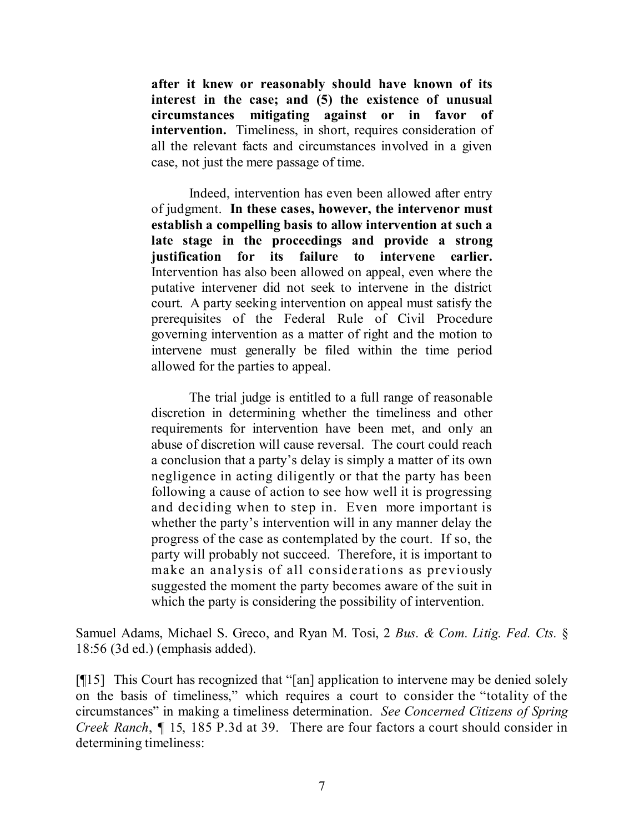**after it knew or reasonably should have known of its interest in the case; and (5) the existence of unusual circumstances mitigating against or in favor of intervention.** Timeliness, in short, requires consideration of all the relevant facts and circumstances involved in a given case, not just the mere passage of time.

Indeed, intervention has even been allowed after entry of judgment. **In these cases, however, the intervenor must establish a compelling basis to allow intervention at such a late stage in the proceedings and provide a strong justification for its failure to intervene earlier.** Intervention has also been allowed on appeal, even where the putative intervener did not seek to intervene in the district court. A party seeking intervention on appeal must satisfy the prerequisites of the Federal Rule of Civil Procedure governing intervention as a matter of right and the motion to intervene must generally be filed within the time period allowed for the parties to appeal.

The trial judge is entitled to a full range of reasonable discretion in determining whether the timeliness and other requirements for intervention have been met, and only an abuse of discretion will cause reversal. The court could reach a conclusion that a party's delay is simply a matter of its own negligence in acting diligently or that the party has been following a cause of action to see how well it is progressing and deciding when to step in. Even more important is whether the party's intervention will in any manner delay the progress of the case as contemplated by the court. If so, the party will probably not succeed. Therefore, it is important to make an analysis of all considerations as previously suggested the moment the party becomes aware of the suit in which the party is considering the possibility of intervention.

Samuel Adams, Michael S. Greco, and Ryan M. Tosi, 2 *Bus. & Com. Litig. Fed. Cts.* § 18:56 (3d ed.) (emphasis added).

[¶15] This Court has recognized that "[an] application to intervene may be denied solely on the basis of timeliness," which requires a court to consider the "totality of the circumstances" in making a timeliness determination. *See Concerned Citizens of Spring Creek Ranch*, ¶ 15, 185 P.3d at 39. There are four factors a court should consider in determining timeliness: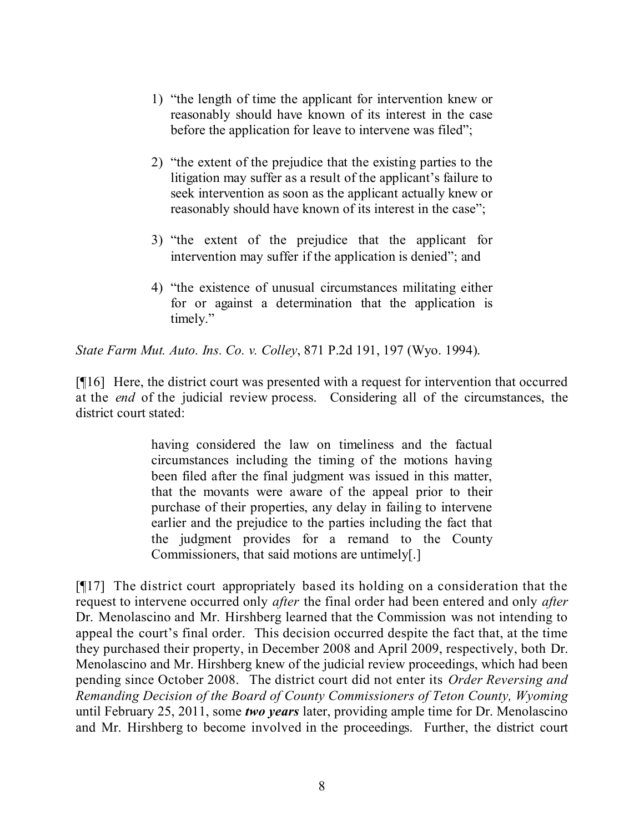- 1) "the length of time the applicant for intervention knew or reasonably should have known of its interest in the case before the application for leave to intervene was filed";
- 2) "the extent of the prejudice that the existing parties to the litigation may suffer as a result of the applicant's failure to seek intervention as soon as the applicant actually knew or reasonably should have known of its interest in the case";
- 3) "the extent of the prejudice that the applicant for intervention may suffer if the application is denied"; and
- 4) "the existence of unusual circumstances militating either for or against a determination that the application is timely."

*State Farm Mut. Auto. Ins. Co. v. Colley*, 871 P.2d 191, 197 (Wyo. 1994).

[¶16] Here, the district court was presented with a request for intervention that occurred at the *end* of the judicial review process. Considering all of the circumstances, the district court stated:

> having considered the law on timeliness and the factual circumstances including the timing of the motions having been filed after the final judgment was issued in this matter, that the movants were aware of the appeal prior to their purchase of their properties, any delay in failing to intervene earlier and the prejudice to the parties including the fact that the judgment provides for a remand to the County Commissioners, that said motions are untimely[.]

[¶17] The district court appropriately based its holding on a consideration that the request to intervene occurred only *after* the final order had been entered and only *after* Dr. Menolascino and Mr. Hirshberg learned that the Commission was not intending to appeal the court's final order. This decision occurred despite the fact that, at the time they purchased their property, in December 2008 and April 2009, respectively, both Dr. Menolascino and Mr. Hirshberg knew of the judicial review proceedings, which had been pending since October 2008. The district court did not enter its *Order Reversing and Remanding Decision of the Board of County Commissioners of Teton County, Wyoming* until February 25, 2011, some *two years* later, providing ample time for Dr. Menolascino and Mr. Hirshberg to become involved in the proceedings. Further, the district court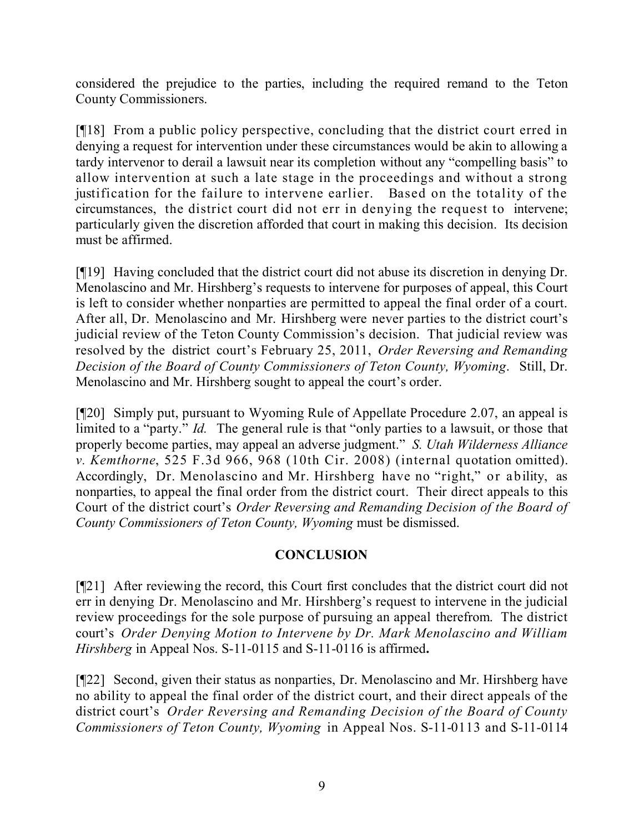considered the prejudice to the parties, including the required remand to the Teton County Commissioners.

[¶18] From a public policy perspective, concluding that the district court erred in denying a request for intervention under these circumstances would be akin to allowing a tardy intervenor to derail a lawsuit near its completion without any "compelling basis" to allow intervention at such a late stage in the proceedings and without a strong justification for the failure to intervene earlier. Based on the totality of the circumstances, the district court did not err in denying the request to intervene; particularly given the discretion afforded that court in making this decision. Its decision must be affirmed.

[¶19] Having concluded that the district court did not abuse its discretion in denying Dr. Menolascino and Mr. Hirshberg's requests to intervene for purposes of appeal, this Court is left to consider whether nonparties are permitted to appeal the final order of a court. After all, Dr. Menolascino and Mr. Hirshberg were never parties to the district court's judicial review of the Teton County Commission's decision. That judicial review was resolved by the district court's February 25, 2011, *Order Reversing and Remanding Decision of the Board of County Commissioners of Teton County, Wyoming*. Still, Dr. Menolascino and Mr. Hirshberg sought to appeal the court's order.

[¶20] Simply put, pursuant to Wyoming Rule of Appellate Procedure 2.07, an appeal is limited to a "party." *Id.* The general rule is that "only parties to a lawsuit, or those that properly become parties, may appeal an adverse judgment." *S. Utah Wilderness Alliance v. Kemthorne*, 525 F.3d 966, 968 (10th Cir. 2008) (internal quotation omitted). Accordingly, Dr. Menolascino and Mr. Hirshberg have no "right," or ability, as nonparties, to appeal the final order from the district court. Their direct appeals to this Court of the district court's *Order Reversing and Remanding Decision of the Board of County Commissioners of Teton County, Wyoming* must be dismissed.

## **CONCLUSION**

[¶21] After reviewing the record, this Court first concludes that the district court did not err in denying Dr. Menolascino and Mr. Hirshberg's request to intervene in the judicial review proceedings for the sole purpose of pursuing an appeal therefrom. The district court's *Order Denying Motion to Intervene by Dr. Mark Menolascino and William Hirshberg* in Appeal Nos. S-11-0115 and S-11-0116 is affirmed**.**

[¶22] Second, given their status as nonparties, Dr. Menolascino and Mr. Hirshberg have no ability to appeal the final order of the district court, and their direct appeals of the district court's *Order Reversing and Remanding Decision of the Board of County Commissioners of Teton County, Wyoming* in Appeal Nos. S-11-0113 and S-11-0114